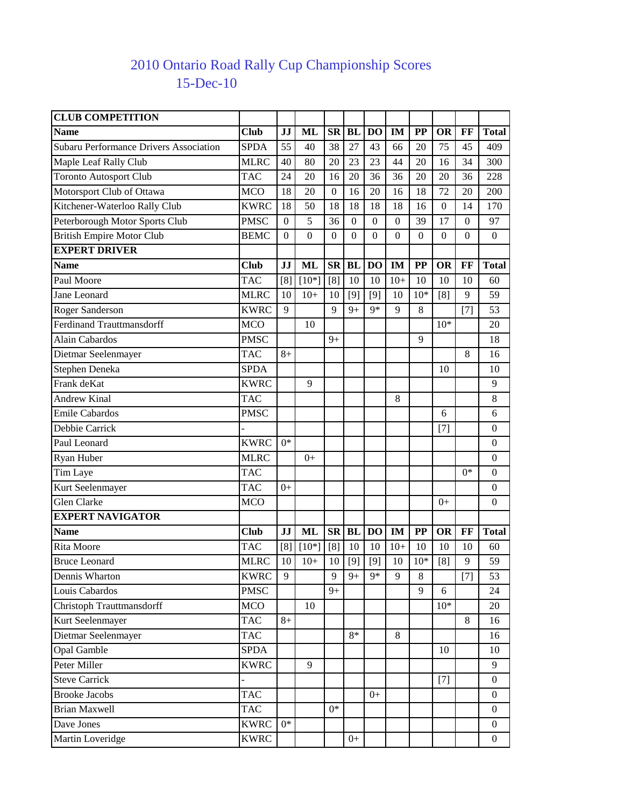## 15-Dec-10 2010 Ontario Road Rally Cup Championship Scores

| <b>CLUB COMPETITION</b>                       |             |                  |                  |                  |                  |                  |                  |                          |                  |              |                  |
|-----------------------------------------------|-------------|------------------|------------------|------------------|------------------|------------------|------------------|--------------------------|------------------|--------------|------------------|
| <b>Name</b>                                   | <b>Club</b> | JJ               | <b>ML</b>        | <b>SR</b>        | <b>BL</b>        | DO               | <b>IM</b>        | <b>PP</b>                | OR               | FF           | <b>Total</b>     |
| <b>Subaru Performance Drivers Association</b> | <b>SPDA</b> | 55               | 40               | 38               | 27               | 43               | 66               | 20                       | 75               | 45           | 409              |
| Maple Leaf Rally Club                         | <b>MLRC</b> | 40               | 80               | 20               | 23               | 23               | 44               | 20                       | 16               | 34           | 300              |
| <b>Toronto Autosport Club</b>                 | <b>TAC</b>  | 24               | 20               | 16               | 20               | 36               | 36               | 20                       | 20               | 36           | 228              |
| Motorsport Club of Ottawa                     | <b>MCO</b>  | 18               | 20               | $\overline{0}$   | 16               | 20               | 16               | 18                       | 72               | 20           | 200              |
| Kitchener-Waterloo Rally Club                 | <b>KWRC</b> | 18               | 50               | 18               | 18               | 18               | 18               | 16                       | $\boldsymbol{0}$ | 14           | 170              |
| Peterborough Motor Sports Club                | <b>PMSC</b> | $\boldsymbol{0}$ | 5                | 36               | $\boldsymbol{0}$ | $\mathbf{0}$     | $\boldsymbol{0}$ | 39                       | 17               | $\mathbf{0}$ | 97               |
| <b>British Empire Motor Club</b>              | <b>BEMC</b> | $\boldsymbol{0}$ | $\boldsymbol{0}$ | $\boldsymbol{0}$ | $\boldsymbol{0}$ | $\boldsymbol{0}$ | $\boldsymbol{0}$ | $\boldsymbol{0}$         | $\boldsymbol{0}$ | $\mathbf{0}$ | $\boldsymbol{0}$ |
| <b>EXPERT DRIVER</b>                          |             |                  |                  |                  |                  |                  |                  |                          |                  |              |                  |
| <b>Name</b>                                   | <b>Club</b> | JJ               | <b>ML</b>        | <b>SR</b>        | <b>BL</b>        | DO               | <b>IM</b>        | <b>PP</b>                | OR               | FF           | <b>Total</b>     |
| Paul Moore                                    | <b>TAC</b>  | [8]              | $[10*]$          | [8]              | 10               | 10               | $10+$            | 10                       | 10               | 10           | 60               |
| Jane Leonard                                  | <b>MLRC</b> | 10               | $10+$            | 10               | $[9]$            | $[9]$            | 10               | $10*$                    | [8]              | 9            | 59               |
| <b>Roger Sanderson</b>                        | <b>KWRC</b> | 9                |                  | 9                | $9+$             | $9*$             | 9                | 8                        |                  | $[7]$        | 53               |
| <b>Ferdinand Trauttmansdorff</b>              | <b>MCO</b>  |                  | 10               |                  |                  |                  |                  |                          | $10*$            |              | 20               |
| Alain Cabardos                                | <b>PMSC</b> |                  |                  | $9+$             |                  |                  |                  | 9                        |                  |              | 18               |
| Dietmar Seelenmayer                           | <b>TAC</b>  | $8+$             |                  |                  |                  |                  |                  |                          |                  | 8            | 16               |
| Stephen Deneka                                | <b>SPDA</b> |                  |                  |                  |                  |                  |                  |                          | 10               |              | 10               |
| Frank deKat                                   | <b>KWRC</b> |                  | 9                |                  |                  |                  |                  |                          |                  |              | 9                |
| <b>Andrew Kinal</b>                           | <b>TAC</b>  |                  |                  |                  |                  |                  | 8                |                          |                  |              | 8                |
| <b>Emile Cabardos</b>                         | <b>PMSC</b> |                  |                  |                  |                  |                  |                  |                          | 6                |              | 6                |
| Debbie Carrick                                |             |                  |                  |                  |                  |                  |                  |                          | $[7]$            |              | $\boldsymbol{0}$ |
| Paul Leonard                                  | <b>KWRC</b> | $0*$             |                  |                  |                  |                  |                  |                          |                  |              | $\boldsymbol{0}$ |
| Ryan Huber                                    | <b>MLRC</b> |                  | $0+$             |                  |                  |                  |                  |                          |                  |              | $\boldsymbol{0}$ |
| Tim Laye                                      | <b>TAC</b>  |                  |                  |                  |                  |                  |                  |                          |                  | $0*$         | $\boldsymbol{0}$ |
| Kurt Seelenmayer                              | <b>TAC</b>  | $0+$             |                  |                  |                  |                  |                  |                          |                  |              | $\boldsymbol{0}$ |
| Glen Clarke                                   | <b>MCO</b>  |                  |                  |                  |                  |                  |                  |                          | $0+$             |              | $\theta$         |
| <b>EXPERT NAVIGATOR</b>                       |             |                  |                  |                  |                  |                  |                  |                          |                  |              |                  |
| <b>Name</b>                                   | Club        | JJ               | <b>ML</b>        | <b>SR</b>        | <b>BL</b>        | DO               | IM               | $\overline{\mathbf{PP}}$ | OR               | FF           | <b>Total</b>     |
| Rita Moore                                    | <b>TAC</b>  | [8]              | $[10*]$          | [8]              | 10               | 10               | $10+$            | 10                       | 10               | 10           | 60               |
| <b>Bruce Leonard</b>                          | <b>MLRC</b> | 10               | $10+$            | 10               | $[9]$            | $[9]$            | 10               | $10*$                    | [8]              | 9            | 59               |
| Dennis Wharton                                | <b>KWRC</b> | 9                |                  | 9                | $9+$             | $9*$             | 9                | 8                        |                  | $[7]$        | 53               |
| Louis Cabardos                                | <b>PMSC</b> |                  |                  | $9+$             |                  |                  |                  | 9                        | 6                |              | 24               |
| <b>Christoph Trauttmansdorff</b>              | <b>MCO</b>  |                  | 10               |                  |                  |                  |                  |                          | $10*$            |              | 20               |
| Kurt Seelenmayer                              | <b>TAC</b>  | $8+$             |                  |                  |                  |                  |                  |                          |                  | 8            | 16               |
| Dietmar Seelenmayer                           | <b>TAC</b>  |                  |                  |                  | 8*               |                  | 8                |                          |                  |              | 16               |
| Opal Gamble                                   | <b>SPDA</b> |                  |                  |                  |                  |                  |                  |                          | 10               |              | 10               |
| Peter Miller                                  | <b>KWRC</b> |                  | 9                |                  |                  |                  |                  |                          |                  |              | 9                |
| <b>Steve Carrick</b>                          |             |                  |                  |                  |                  |                  |                  |                          | $[7]$            |              | $\mathbf{0}$     |
| <b>Brooke Jacobs</b>                          | <b>TAC</b>  |                  |                  |                  |                  | $0+$             |                  |                          |                  |              | $\mathbf{0}$     |
| <b>Brian Maxwell</b>                          | <b>TAC</b>  |                  |                  | $0*$             |                  |                  |                  |                          |                  |              | $\Omega$         |
| Dave Jones                                    | <b>KWRC</b> | $0^*$            |                  |                  |                  |                  |                  |                          |                  |              | $\overline{0}$   |
| Martin Loveridge                              | <b>KWRC</b> |                  |                  |                  | $0+$             |                  |                  |                          |                  |              | $\mathbf{0}$     |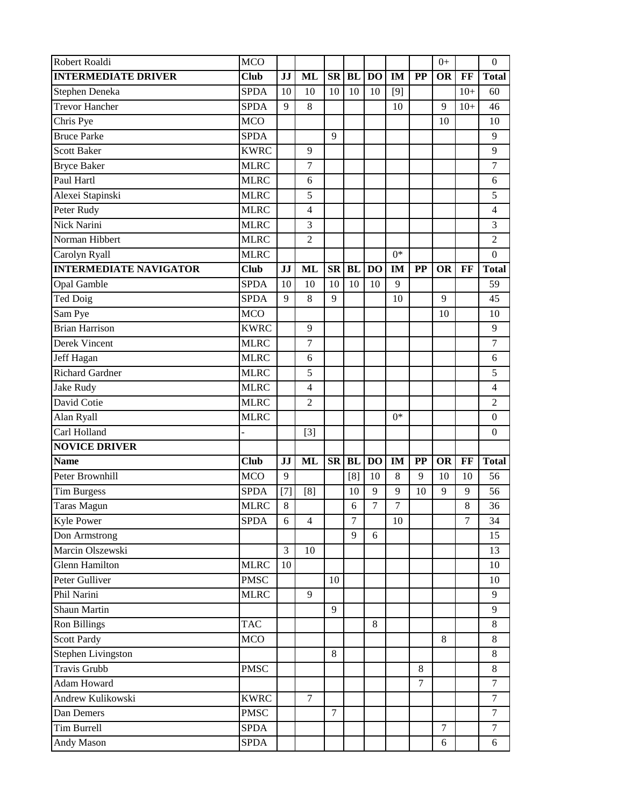| Robert Roaldi                 | <b>MCO</b>  |       |                |                |                |                |                  |                | $0+$           |        | $\mathbf{0}$     |
|-------------------------------|-------------|-------|----------------|----------------|----------------|----------------|------------------|----------------|----------------|--------|------------------|
| <b>INTERMEDIATE DRIVER</b>    | <b>Club</b> | JJ    | <b>ML</b>      | <b>SR</b>      | <b>BL</b>      | <b>DO</b>      | IM               | <b>PP</b>      | <b>OR</b>      | FF     | <b>Total</b>     |
| Stephen Deneka                | <b>SPDA</b> | 10    | 10             | 10             | 10             | 10             | $[9]$            |                |                | $10+$  | 60               |
| <b>Trevor Hancher</b>         | <b>SPDA</b> | 9     | 8              |                |                |                | 10               |                | 9              | $10+$  | 46               |
| Chris Pye                     | <b>MCO</b>  |       |                |                |                |                |                  |                | 10             |        | 10               |
| <b>Bruce Parke</b>            | <b>SPDA</b> |       |                | 9              |                |                |                  |                |                |        | 9                |
| <b>Scott Baker</b>            | <b>KWRC</b> |       | 9              |                |                |                |                  |                |                |        | 9                |
| <b>Bryce Baker</b>            | <b>MLRC</b> |       | 7              |                |                |                |                  |                |                |        | 7                |
| Paul Hartl                    | <b>MLRC</b> |       | 6              |                |                |                |                  |                |                |        | 6                |
| Alexei Stapinski              | <b>MLRC</b> |       | 5              |                |                |                |                  |                |                |        | 5                |
| Peter Rudy                    | <b>MLRC</b> |       | 4              |                |                |                |                  |                |                |        | 4                |
| <b>Nick Narini</b>            | <b>MLRC</b> |       | 3              |                |                |                |                  |                |                |        | 3                |
| Norman Hibbert                | <b>MLRC</b> |       | 2              |                |                |                |                  |                |                |        | $\mathfrak{2}$   |
| Carolyn Ryall                 | <b>MLRC</b> |       |                |                |                |                | $0*$             |                |                |        | $\overline{0}$   |
| <b>INTERMEDIATE NAVIGATOR</b> | <b>Club</b> | JJ    | <b>ML</b>      | <b>SR</b>      | <b>BL</b>      | D <sub>O</sub> | IM               | $\bf PP$       | <b>OR</b>      | FF     | <b>Total</b>     |
| <b>Opal Gamble</b>            | <b>SPDA</b> | 10    | 10             | 10             | 10             | 10             | 9                |                |                |        | 59               |
| Ted Doig                      | <b>SPDA</b> | 9     | 8              | 9              |                |                | 10               |                | 9              |        | 45               |
| Sam Pye                       | <b>MCO</b>  |       |                |                |                |                |                  |                | 10             |        | 10               |
| <b>Brian Harrison</b>         | <b>KWRC</b> |       | 9              |                |                |                |                  |                |                |        | 9                |
| Derek Vincent                 | <b>MLRC</b> |       | 7              |                |                |                |                  |                |                |        | 7                |
| Jeff Hagan                    | <b>MLRC</b> |       | 6              |                |                |                |                  |                |                |        | 6                |
| Richard Gardner               | <b>MLRC</b> |       | 5              |                |                |                |                  |                |                |        | 5                |
| <b>Jake Rudy</b>              | <b>MLRC</b> |       | $\overline{4}$ |                |                |                |                  |                |                |        | 4                |
| David Cotie                   | <b>MLRC</b> |       | $\overline{2}$ |                |                |                |                  |                |                |        | $\overline{2}$   |
| Alan Ryall                    | <b>MLRC</b> |       |                |                |                |                | $0*$             |                |                |        | $\boldsymbol{0}$ |
| Carl Holland                  |             |       | $[3]$          |                |                |                |                  |                |                |        | $\boldsymbol{0}$ |
| <b>NOVICE DRIVER</b>          |             |       |                |                |                |                |                  |                |                |        |                  |
| <b>Name</b>                   | <b>Club</b> | JJ    | <b>ML</b>      | ${\bf SR}$     | <b>BL</b>      | <b>DO</b>      | IM               | <b>PP</b>      | <b>OR</b>      | FF     | <b>Total</b>     |
| Peter Brownhill               | <b>MCO</b>  | 9     |                |                | [8]            | 10             | 8                | 9              | 10             | 10     | 56               |
| <b>Tim Burgess</b>            | <b>SPDA</b> | $[7]$ | [8]            |                | 10             | 9              | 9                | 10             | 9              | 9      | 56               |
| <b>Taras Magun</b>            | <b>MLRC</b> | 8     |                |                | 6              | $\tau$         | $\boldsymbol{7}$ |                |                | 8      | 36               |
| <b>Kyle Power</b>             | <b>SPDA</b> | 6     | $\overline{4}$ |                | $\overline{7}$ |                | 10               |                |                | $\tau$ | 34               |
| Don Armstrong                 |             |       |                |                | 9              | 6              |                  |                |                |        | 15               |
| Marcin Olszewski              |             | 3     | 10             |                |                |                |                  |                |                |        | 13               |
| <b>Glenn Hamilton</b>         | <b>MLRC</b> | 10    |                |                |                |                |                  |                |                |        | 10               |
| Peter Gulliver                | <b>PMSC</b> |       |                | 10             |                |                |                  |                |                |        | 10               |
| Phil Narini                   | <b>MLRC</b> |       | 9              |                |                |                |                  |                |                |        | 9                |
| Shaun Martin                  |             |       |                | 9              |                |                |                  |                |                |        | 9                |
| <b>Ron Billings</b>           | <b>TAC</b>  |       |                |                |                | $\,8\,$        |                  |                |                |        | $8\,$            |
| <b>Scott Pardy</b>            | <b>MCO</b>  |       |                |                |                |                |                  |                | 8              |        | $8\,$            |
| <b>Stephen Livingston</b>     |             |       |                | 8              |                |                |                  |                |                |        | 8                |
| <b>Travis Grubb</b>           | <b>PMSC</b> |       |                |                |                |                |                  | $8\,$          |                |        | $8\,$            |
| Adam Howard                   |             |       |                |                |                |                |                  | $\overline{7}$ |                |        | $\overline{7}$   |
| Andrew Kulikowski             | <b>KWRC</b> |       | $\tau$         |                |                |                |                  |                |                |        | $\tau$           |
| Dan Demers                    | <b>PMSC</b> |       |                | $\overline{7}$ |                |                |                  |                |                |        | $\overline{7}$   |
| Tim Burrell                   | <b>SPDA</b> |       |                |                |                |                |                  |                | $\overline{7}$ |        | $\overline{7}$   |
| Andy Mason                    | <b>SPDA</b> |       |                |                |                |                |                  |                | 6              |        | 6                |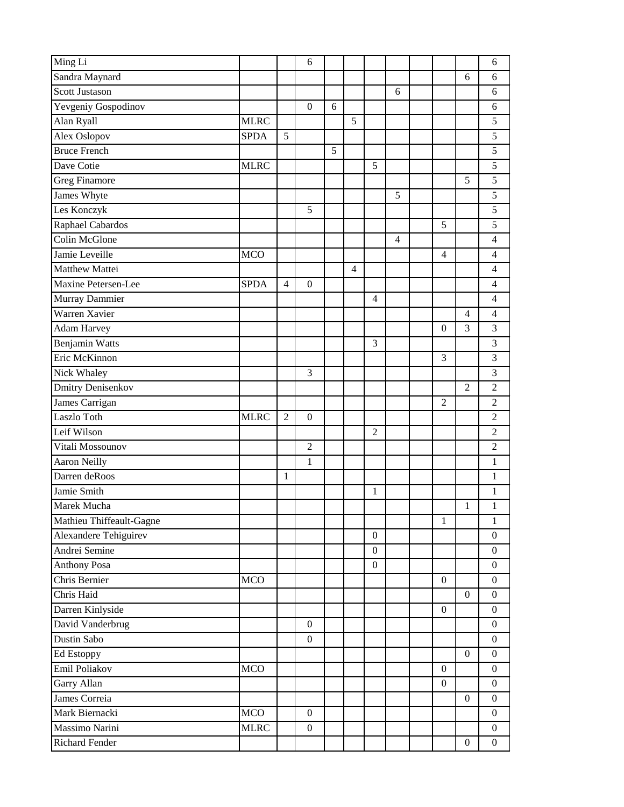| Ming Li                  |             |                | 6                |   |                |                  |   |                  |                  | 6                |
|--------------------------|-------------|----------------|------------------|---|----------------|------------------|---|------------------|------------------|------------------|
| Sandra Maynard           |             |                |                  |   |                |                  |   |                  | 6                | 6                |
| <b>Scott Justason</b>    |             |                |                  |   |                |                  | 6 |                  |                  | 6                |
| Yevgeniy Gospodinov      |             |                | $\boldsymbol{0}$ | 6 |                |                  |   |                  |                  | 6                |
| Alan Ryall               | <b>MLRC</b> |                |                  |   | 5              |                  |   |                  |                  | 5                |
| Alex Oslopov             | <b>SPDA</b> | 5              |                  |   |                |                  |   |                  |                  | 5                |
| <b>Bruce French</b>      |             |                |                  | 5 |                |                  |   |                  |                  | 5                |
| Dave Cotie               | <b>MLRC</b> |                |                  |   |                | 5                |   |                  |                  | $\overline{5}$   |
| <b>Greg Finamore</b>     |             |                |                  |   |                |                  |   |                  | 5                | 5                |
| James Whyte              |             |                |                  |   |                |                  | 5 |                  |                  | 5                |
| Les Konczyk              |             |                | 5                |   |                |                  |   |                  |                  | $\overline{5}$   |
| Raphael Cabardos         |             |                |                  |   |                |                  |   | 5                |                  | 5                |
| Colin McGlone            |             |                |                  |   |                |                  | 4 |                  |                  | $\overline{4}$   |
| Jamie Leveille           | <b>MCO</b>  |                |                  |   |                |                  |   | $\overline{4}$   |                  | $\overline{4}$   |
| Matthew Mattei           |             |                |                  |   | $\overline{4}$ |                  |   |                  |                  | 4                |
| Maxine Petersen-Lee      | <b>SPDA</b> | $\overline{4}$ | $\mathbf{0}$     |   |                |                  |   |                  |                  | $\overline{4}$   |
| Murray Dammier           |             |                |                  |   |                | $\overline{4}$   |   |                  |                  | $\overline{4}$   |
| Warren Xavier            |             |                |                  |   |                |                  |   |                  | $\overline{4}$   | $\overline{4}$   |
| <b>Adam Harvey</b>       |             |                |                  |   |                |                  |   | $\boldsymbol{0}$ | 3                | 3                |
| <b>Benjamin Watts</b>    |             |                |                  |   |                | 3                |   |                  |                  | 3                |
| Eric McKinnon            |             |                |                  |   |                |                  |   | 3                |                  | 3                |
| Nick Whaley              |             |                | 3                |   |                |                  |   |                  |                  | 3                |
| <b>Dmitry Denisenkov</b> |             |                |                  |   |                |                  |   |                  | $\overline{2}$   | $\overline{c}$   |
| James Carrigan           |             |                |                  |   |                |                  |   | $\overline{2}$   |                  | $\overline{2}$   |
| Laszlo Toth              | <b>MLRC</b> | $\overline{2}$ | $\boldsymbol{0}$ |   |                |                  |   |                  |                  | $\overline{2}$   |
| Leif Wilson              |             |                |                  |   |                | $\overline{2}$   |   |                  |                  | $\overline{c}$   |
| Vitali Mossounov         |             |                | $\overline{2}$   |   |                |                  |   |                  |                  | $\overline{2}$   |
| <b>Aaron Neilly</b>      |             |                | $\mathbf{1}$     |   |                |                  |   |                  |                  | $\mathbf{1}$     |
| Darren deRoos            |             | 1              |                  |   |                |                  |   |                  |                  | $\mathbf{1}$     |
| Jamie Smith              |             |                |                  |   |                | $\mathbf{1}$     |   |                  |                  | $\mathbf{1}$     |
| Marek Mucha              |             |                |                  |   |                |                  |   |                  | 1                | $\mathbf{1}$     |
| Mathieu Thiffeault-Gagne |             |                |                  |   |                |                  |   | $\mathbf{1}$     |                  | $\mathbf{1}$     |
| Alexandere Tehiguirev    |             |                |                  |   |                | $\overline{0}$   |   |                  |                  | $\boldsymbol{0}$ |
| Andrei Semine            |             |                |                  |   |                | $\boldsymbol{0}$ |   |                  |                  | $\mathbf{0}$     |
| <b>Anthony Posa</b>      |             |                |                  |   |                | $\boldsymbol{0}$ |   |                  |                  | $\boldsymbol{0}$ |
| Chris Bernier            | <b>MCO</b>  |                |                  |   |                |                  |   | $\boldsymbol{0}$ |                  | $\boldsymbol{0}$ |
| Chris Haid               |             |                |                  |   |                |                  |   |                  | $\boldsymbol{0}$ | $\boldsymbol{0}$ |
| Darren Kinlyside         |             |                |                  |   |                |                  |   | $\boldsymbol{0}$ |                  | $\boldsymbol{0}$ |
| David Vanderbrug         |             |                | $\boldsymbol{0}$ |   |                |                  |   |                  |                  | $\boldsymbol{0}$ |
| Dustin Sabo              |             |                | $\boldsymbol{0}$ |   |                |                  |   |                  |                  | $\boldsymbol{0}$ |
| <b>Ed Estoppy</b>        |             |                |                  |   |                |                  |   |                  | $\boldsymbol{0}$ | $\boldsymbol{0}$ |
| Emil Poliakov            | <b>MCO</b>  |                |                  |   |                |                  |   | $\boldsymbol{0}$ |                  | $\boldsymbol{0}$ |
| Garry Allan              |             |                |                  |   |                |                  |   | $\boldsymbol{0}$ |                  | $\boldsymbol{0}$ |
| James Correia            |             |                |                  |   |                |                  |   |                  | $\boldsymbol{0}$ | $\boldsymbol{0}$ |
| Mark Biernacki           | <b>MCO</b>  |                | $\boldsymbol{0}$ |   |                |                  |   |                  |                  | $\boldsymbol{0}$ |
| Massimo Narini           | <b>MLRC</b> |                | $\boldsymbol{0}$ |   |                |                  |   |                  |                  | $\mathbf{0}$     |
| <b>Richard Fender</b>    |             |                |                  |   |                |                  |   |                  | $\boldsymbol{0}$ | $\boldsymbol{0}$ |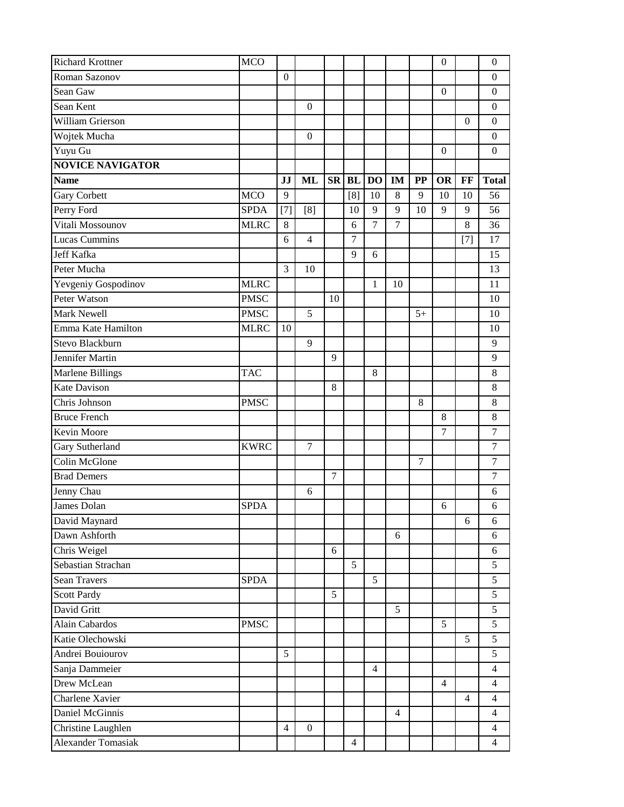| <b>Richard Krottner</b>   | <b>MCO</b>  |                  |                  |            |                |                |                |                  | $\boldsymbol{0}$ |       | $\boldsymbol{0}$ |
|---------------------------|-------------|------------------|------------------|------------|----------------|----------------|----------------|------------------|------------------|-------|------------------|
| Roman Sazonov             |             | $\boldsymbol{0}$ |                  |            |                |                |                |                  |                  |       | $\boldsymbol{0}$ |
| Sean Gaw                  |             |                  |                  |            |                |                |                |                  | $\boldsymbol{0}$ |       | $\boldsymbol{0}$ |
| Sean Kent                 |             |                  | $\boldsymbol{0}$ |            |                |                |                |                  |                  |       | $\boldsymbol{0}$ |
| <b>William Grierson</b>   |             |                  |                  |            |                |                |                |                  |                  | 0     | $\boldsymbol{0}$ |
| Wojtek Mucha              |             |                  | $\boldsymbol{0}$ |            |                |                |                |                  |                  |       | $\boldsymbol{0}$ |
| Yuyu Gu                   |             |                  |                  |            |                |                |                |                  | $\boldsymbol{0}$ |       | $\boldsymbol{0}$ |
| <b>NOVICE NAVIGATOR</b>   |             |                  |                  |            |                |                |                |                  |                  |       |                  |
| <b>Name</b>               |             | JJ               | ML               | ${\bf SR}$ | <b>BL</b>      | <b>DO</b>      | <b>IM</b>      | $\bf PP$         | <b>OR</b>        | FF    | <b>Total</b>     |
| <b>Gary Corbett</b>       | <b>MCO</b>  | 9                |                  |            | [8]            | 10             | 8              | 9                | 10               | 10    | 56               |
| Perry Ford                | <b>SPDA</b> | $[7]$            | [8]              |            | 10             | 9              | 9              | 10               | 9                | 9     | 56               |
| Vitali Mossounov          | <b>MLRC</b> | 8                |                  |            | 6              | $\overline{7}$ | $\overline{7}$ |                  |                  | 8     | 36               |
| Lucas Cummins             |             | 6                | $\overline{4}$   |            | $\overline{7}$ |                |                |                  |                  | $[7]$ | 17               |
| <b>Jeff Kafka</b>         |             |                  |                  |            | 9              | 6              |                |                  |                  |       | 15               |
| Peter Mucha               |             | 3                | 10               |            |                |                |                |                  |                  |       | 13               |
| Yevgeniy Gospodinov       | <b>MLRC</b> |                  |                  |            |                | $\mathbf{1}$   | 10             |                  |                  |       | 11               |
| Peter Watson              | <b>PMSC</b> |                  |                  | 10         |                |                |                |                  |                  |       | 10               |
| Mark Newell               | <b>PMSC</b> |                  | 5                |            |                |                |                | $5+$             |                  |       | 10               |
| Emma Kate Hamilton        | <b>MLRC</b> | 10               |                  |            |                |                |                |                  |                  |       | 10               |
| Stevo Blackburn           |             |                  | 9                |            |                |                |                |                  |                  |       | 9                |
| Jennifer Martin           |             |                  |                  | 9          |                |                |                |                  |                  |       | 9                |
| <b>Marlene Billings</b>   | <b>TAC</b>  |                  |                  |            |                | 8              |                |                  |                  |       | $8\,$            |
| <b>Kate Davison</b>       |             |                  |                  | 8          |                |                |                |                  |                  |       | $\,8\,$          |
| Chris Johnson             | <b>PMSC</b> |                  |                  |            |                |                |                | 8                |                  |       | 8                |
| <b>Bruce French</b>       |             |                  |                  |            |                |                |                |                  | 8                |       | 8                |
| Kevin Moore               |             |                  |                  |            |                |                |                |                  | $\overline{7}$   |       | $\overline{7}$   |
| Gary Sutherland           | <b>KWRC</b> |                  | $\overline{7}$   |            |                |                |                |                  |                  |       | $\boldsymbol{7}$ |
| Colin McGlone             |             |                  |                  |            |                |                |                | $\boldsymbol{7}$ |                  |       | $\boldsymbol{7}$ |
| <b>Brad Demers</b>        |             |                  |                  | $\tau$     |                |                |                |                  |                  |       | $\tau$           |
| Jenny Chau                |             |                  | 6                |            |                |                |                |                  |                  |       | 6                |
| James Dolan               | <b>SPDA</b> |                  |                  |            |                |                |                |                  | 6                |       | 6                |
| David Maynard             |             |                  |                  |            |                |                |                |                  |                  | 6     | 6                |
| Dawn Ashforth             |             |                  |                  |            |                |                | 6              |                  |                  |       | 6                |
| Chris Weigel              |             |                  |                  | 6          |                |                |                |                  |                  |       | 6                |
| Sebastian Strachan        |             |                  |                  |            | 5              |                |                |                  |                  |       | $\mathfrak{S}$   |
| <b>Sean Travers</b>       | <b>SPDA</b> |                  |                  |            |                | 5              |                |                  |                  |       | 5                |
| <b>Scott Pardy</b>        |             |                  |                  | 5          |                |                |                |                  |                  |       | $\overline{5}$   |
| David Gritt               |             |                  |                  |            |                |                | 5              |                  |                  |       | $\overline{5}$   |
| Alain Cabardos            | <b>PMSC</b> |                  |                  |            |                |                |                |                  | 5                |       | 5                |
| Katie Olechowski          |             |                  |                  |            |                |                |                |                  |                  | 5     | $\overline{5}$   |
| Andrei Bouiourov          |             | 5                |                  |            |                |                |                |                  |                  |       | 5                |
| Sanja Dammeier            |             |                  |                  |            |                | $\overline{4}$ |                |                  |                  |       | $\overline{4}$   |
| Drew McLean               |             |                  |                  |            |                |                |                |                  | $\overline{4}$   |       | $\overline{4}$   |
| Charlene Xavier           |             |                  |                  |            |                |                |                |                  |                  | 4     | $\overline{4}$   |
| Daniel McGinnis           |             |                  |                  |            |                |                | $\overline{4}$ |                  |                  |       | $\overline{4}$   |
| Christine Laughlen        |             | $\overline{4}$   | $\boldsymbol{0}$ |            |                |                |                |                  |                  |       | $\overline{4}$   |
| <b>Alexander Tomasiak</b> |             |                  |                  |            | $\overline{4}$ |                |                |                  |                  |       | $\overline{4}$   |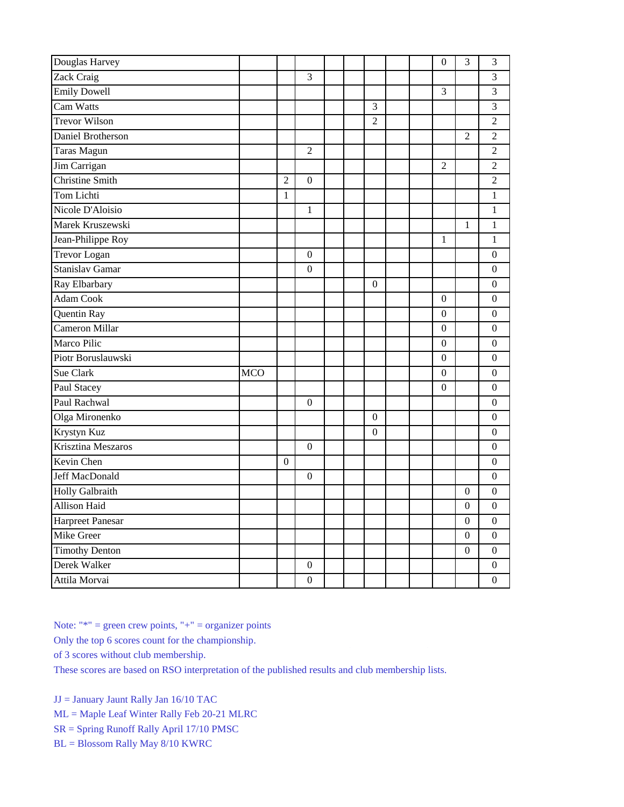| Douglas Harvey         |            |                |                  |  |                  |  | $\boldsymbol{0}$ | 3                | 3                |
|------------------------|------------|----------------|------------------|--|------------------|--|------------------|------------------|------------------|
| Zack Craig             |            |                | 3                |  |                  |  |                  |                  | 3                |
| <b>Emily Dowell</b>    |            |                |                  |  |                  |  | 3                |                  | $\mathfrak{Z}$   |
| Cam Watts              |            |                |                  |  | 3                |  |                  |                  | $\overline{3}$   |
| <b>Trevor Wilson</b>   |            |                |                  |  | $\overline{2}$   |  |                  |                  | $\overline{2}$   |
| Daniel Brotherson      |            |                |                  |  |                  |  |                  | $\overline{2}$   | $\overline{2}$   |
| Taras Magun            |            |                | $\overline{2}$   |  |                  |  |                  |                  | $\overline{2}$   |
| Jim Carrigan           |            |                |                  |  |                  |  | $\overline{2}$   |                  | $\overline{2}$   |
| <b>Christine Smith</b> |            | $\overline{2}$ | $\boldsymbol{0}$ |  |                  |  |                  |                  | $\overline{2}$   |
| Tom Lichti             |            | 1              |                  |  |                  |  |                  |                  | $\mathbf{1}$     |
| Nicole D'Aloisio       |            |                | $\mathbf{1}$     |  |                  |  |                  |                  | $\mathbf{1}$     |
| Marek Kruszewski       |            |                |                  |  |                  |  |                  | 1                | $\mathbf{1}$     |
| Jean-Philippe Roy      |            |                |                  |  |                  |  | 1                |                  | $\mathbf{1}$     |
| <b>Trevor Logan</b>    |            |                | $\boldsymbol{0}$ |  |                  |  |                  |                  | $\mathbf{0}$     |
| Stanislav Gamar        |            |                | $\boldsymbol{0}$ |  |                  |  |                  |                  | $\boldsymbol{0}$ |
| Ray Elbarbary          |            |                |                  |  | $\mathbf{0}$     |  |                  |                  | $\boldsymbol{0}$ |
| <b>Adam Cook</b>       |            |                |                  |  |                  |  | $\mathbf{0}$     |                  | $\boldsymbol{0}$ |
| Quentin Ray            |            |                |                  |  |                  |  | $\mathbf{0}$     |                  | $\boldsymbol{0}$ |
| Cameron Millar         |            |                |                  |  |                  |  | $\mathbf{0}$     |                  | $\boldsymbol{0}$ |
| Marco Pilic            |            |                |                  |  |                  |  | $\mathbf{0}$     |                  | $\mathbf{0}$     |
| Piotr Boruslauwski     |            |                |                  |  |                  |  | $\overline{0}$   |                  | $\mathbf{0}$     |
| Sue Clark              | <b>MCO</b> |                |                  |  |                  |  | $\boldsymbol{0}$ |                  | $\boldsymbol{0}$ |
| Paul Stacey            |            |                |                  |  |                  |  | $\boldsymbol{0}$ |                  | $\boldsymbol{0}$ |
| Paul Rachwal           |            |                | $\boldsymbol{0}$ |  |                  |  |                  |                  | $\mathbf{0}$     |
| Olga Mironenko         |            |                |                  |  | $\boldsymbol{0}$ |  |                  |                  | $\boldsymbol{0}$ |
| Krystyn Kuz            |            |                |                  |  | $\boldsymbol{0}$ |  |                  |                  | $\boldsymbol{0}$ |
| Krisztina Meszaros     |            |                | $\mathbf{0}$     |  |                  |  |                  |                  | $\boldsymbol{0}$ |
| Kevin Chen             |            | $\mathbf{0}$   |                  |  |                  |  |                  |                  | $\boldsymbol{0}$ |
| <b>Jeff MacDonald</b>  |            |                | $\boldsymbol{0}$ |  |                  |  |                  |                  | $\boldsymbol{0}$ |
| <b>Holly Galbraith</b> |            |                |                  |  |                  |  |                  | $\boldsymbol{0}$ | $\boldsymbol{0}$ |
| <b>Allison Haid</b>    |            |                |                  |  |                  |  |                  | $\boldsymbol{0}$ | $\boldsymbol{0}$ |
| Harpreet Panesar       |            |                |                  |  |                  |  |                  | $\boldsymbol{0}$ | $\boldsymbol{0}$ |
| Mike Greer             |            |                |                  |  |                  |  |                  | $\mathbf{0}$     | $\boldsymbol{0}$ |
| <b>Timothy Denton</b>  |            |                |                  |  |                  |  |                  | $\boldsymbol{0}$ | $\boldsymbol{0}$ |
| Derek Walker           |            |                | $\boldsymbol{0}$ |  |                  |  |                  |                  | $\boldsymbol{0}$ |
| Attila Morvai          |            |                | $\boldsymbol{0}$ |  |                  |  |                  |                  | $\boldsymbol{0}$ |

Note:  $"$  = green crew points,  $"$  +  $"$  = organizer points

Only the top 6 scores count for the championship.

of 3 scores without club membership.

These scores are based on RSO interpretation of the published results and club membership lists.

JJ = January Jaunt Rally Jan 16/10 TAC

- ML = Maple Leaf Winter Rally Feb 20-21 MLRC
- SR = Spring Runoff Rally April 17/10 PMSC
- BL = Blossom Rally May 8/10 KWRC